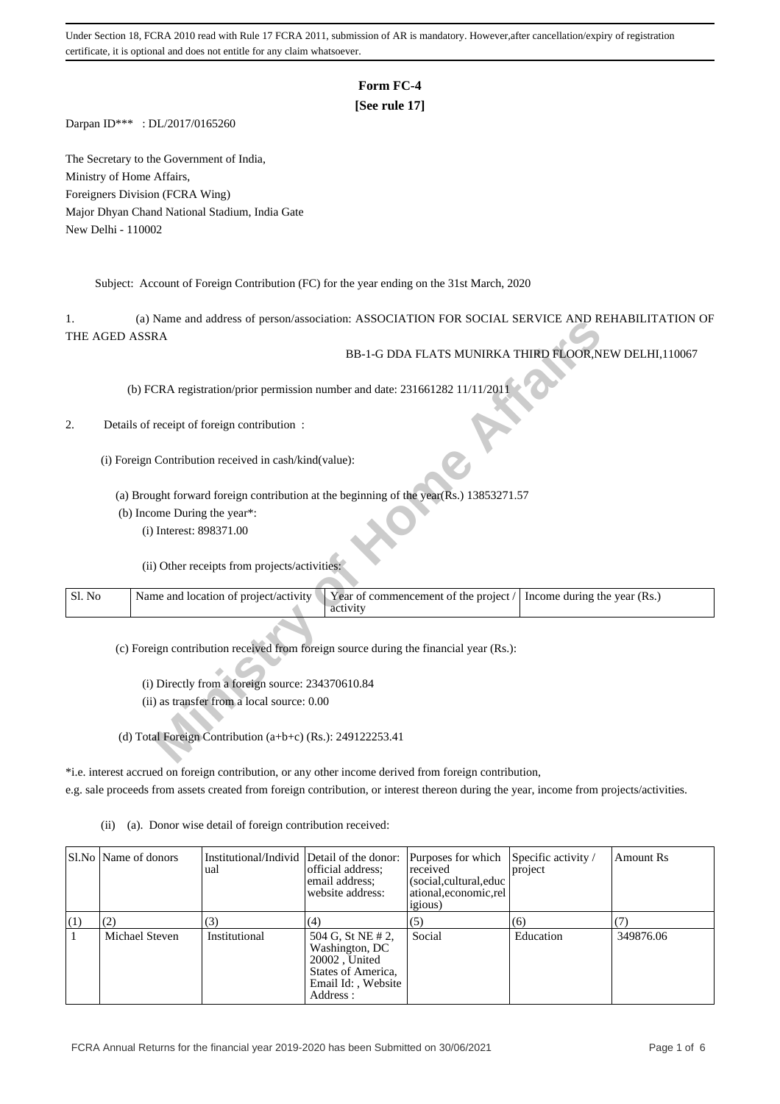# **Form FC-4**

# **[See rule 17]**

Darpan ID\*\*\* : DL/2017/0165260

The Secretary to the Government of India, Ministry of Home Affairs, Foreigners Division (FCRA Wing) Major Dhyan Chand National Stadium, India Gate New Delhi - 110002

Subject: Account of Foreign Contribution (FC) for the year ending on the 31st March, 2020

1. (a) Name and address of person/association: ASSOCIATION FOR SOCIAL SERVICE AND REHABILITATION OF THE AGED ASSRA

## 2. Details of receipt of foreign contribution :

|        | (a) IValue and address of person/association. ASSOCIATION FOR SOCIAL SERVICE AND REHABILITATION OF             |
|--------|----------------------------------------------------------------------------------------------------------------|
|        | THE AGED ASSRA                                                                                                 |
|        | BB-1-G DDA FLATS MUNIRKA THIRD FLOOR, NEW DELHI, 110067                                                        |
|        |                                                                                                                |
|        |                                                                                                                |
|        | (b) FCRA registration/prior permission number and date: 231661282 11/11/2011                                   |
|        |                                                                                                                |
| 2.     |                                                                                                                |
|        | Details of receipt of foreign contribution:                                                                    |
|        |                                                                                                                |
|        | (i) Foreign Contribution received in cash/kind(value):                                                         |
|        |                                                                                                                |
|        |                                                                                                                |
|        | (a) Brought forward foreign contribution at the beginning of the year(Rs.) 13853271.57                         |
|        | (b) Income During the year*:                                                                                   |
|        | (i) Interest: 898371.00                                                                                        |
|        |                                                                                                                |
|        |                                                                                                                |
|        | (ii) Other receipts from projects/activities:                                                                  |
|        |                                                                                                                |
| Sl. No | Name and location of project/activity<br>Year of commencement of the project /<br>Income during the year (Rs.) |
|        | activity                                                                                                       |
|        |                                                                                                                |
|        |                                                                                                                |
|        | (c) Foreign contribution received from foreign source during the financial year (Rs.):                         |
|        |                                                                                                                |
|        | (i) Directly from a foreign source: 234370610.84                                                               |
|        | (ii) as transfer from a local source: 0.00                                                                     |
|        |                                                                                                                |
|        |                                                                                                                |
|        | (d) Total Foreign Contribution $(a+b+c)$ (Rs.): 249122253.41                                                   |
|        |                                                                                                                |
|        |                                                                                                                |

\*i.e. interest accrued on foreign contribution, or any other income derived from foreign contribution, e.g. sale proceeds from assets created from foreign contribution, or interest thereon during the year, income from projects/activities.

(ii) (a). Donor wise detail of foreign contribution received:

|     | SI.No   Name of donors | Institutional/Individ Detail of the donor:<br>ual | official address:<br>email address:<br>website address:                                                       | Purposes for which<br>received<br>(social, cultural, educ<br>ational.economic.rel<br><i>igious</i> ) | Specific activity /<br>project | Amount Rs |
|-----|------------------------|---------------------------------------------------|---------------------------------------------------------------------------------------------------------------|------------------------------------------------------------------------------------------------------|--------------------------------|-----------|
| (1) | (2)                    | (3)                                               | (4)                                                                                                           | (5)                                                                                                  | (6)                            |           |
|     | Michael Steven         | Institutional                                     | 504 G, St NE # 2,<br>Washington, DC<br>20002, United<br>States of America,<br>Email Id:, Website<br>Address : | Social                                                                                               | Education                      | 349876.06 |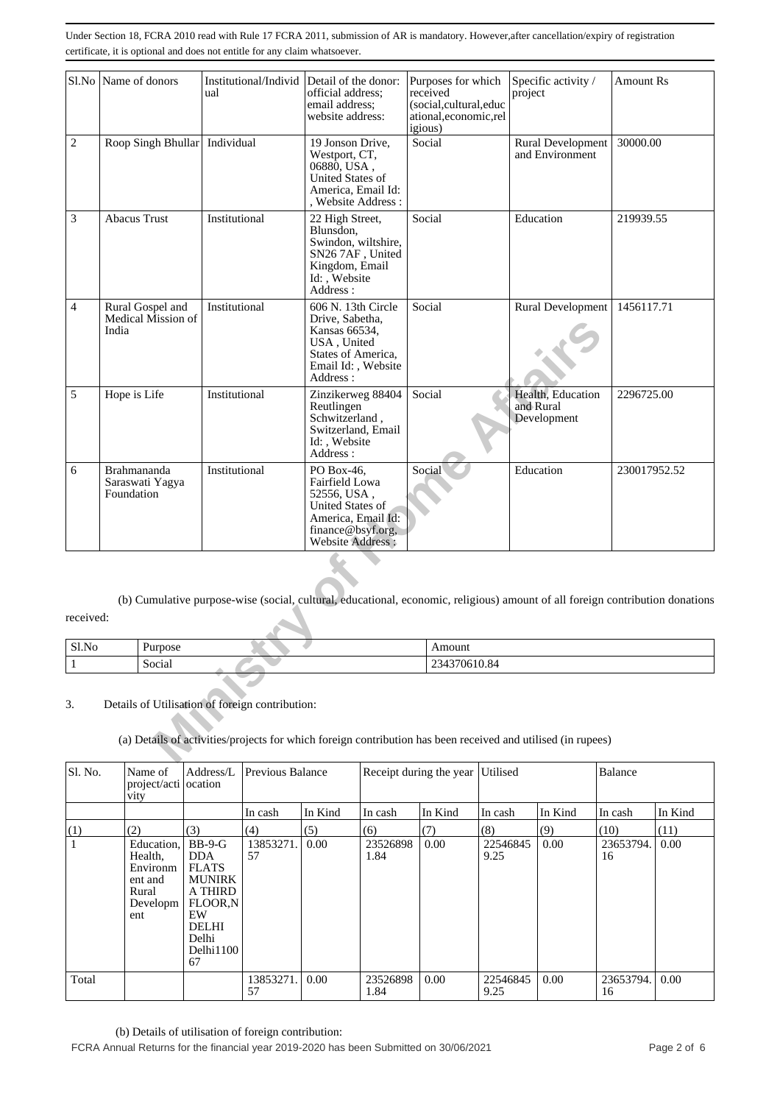|                                                                                                                                            | Sl.No Name of donors                                                                                                                                            | Institutional/Individ<br>ual | Detail of the donor:<br>official address;<br>email address:<br>website address:                                                 | Purposes for which<br>received<br>(social,cultural,educ<br>ational,economic,rel<br>igious) | Specific activity /<br>project                | <b>Amount Rs</b> |  |  |  |  |
|--------------------------------------------------------------------------------------------------------------------------------------------|-----------------------------------------------------------------------------------------------------------------------------------------------------------------|------------------------------|---------------------------------------------------------------------------------------------------------------------------------|--------------------------------------------------------------------------------------------|-----------------------------------------------|------------------|--|--|--|--|
| $\overline{2}$                                                                                                                             | Roop Singh Bhullar Individual                                                                                                                                   |                              | 19 Jonson Drive,<br>Westport, CT,<br>06880, USA,<br>United States of<br>America, Email Id:<br>, Website Address:                | Social                                                                                     | Rural Development<br>and Environment          | 30000.00         |  |  |  |  |
| 3                                                                                                                                          | <b>Abacus Trust</b>                                                                                                                                             | Institutional                | 22 High Street,<br>Blunsdon,<br>Swindon, wiltshire,<br>SN267AF, United<br>Kingdom, Email<br>Id: , Website<br>Address:           | Social                                                                                     | Education                                     | 219939.55        |  |  |  |  |
| 4                                                                                                                                          | Rural Gospel and<br>Medical Mission of<br>India                                                                                                                 | Institutional                | 606 N. 13th Circle<br>Drive, Sabetha,<br>Kansas 66534,<br>USA, United<br>States of America,<br>Email Id: , Website<br>Address : | Social                                                                                     | Rural Development                             | 1456117.71       |  |  |  |  |
| 5                                                                                                                                          | Hope is Life                                                                                                                                                    | Institutional                | Zinzikerweg 88404<br>Reutlingen<br>Schwitzerland,<br>Switzerland, Email<br>Id:, Website<br>Address:                             | Social                                                                                     | Health, Education<br>and Rural<br>Development | 2296725.00       |  |  |  |  |
| 6                                                                                                                                          | Brahmananda<br>Saraswati Yagya<br>Foundation                                                                                                                    | Institutional                | PO Box-46,<br>Fairfield Lowa<br>52556, USA,<br>United States of<br>America, Email Id:<br>finance@bsyf.org,<br>Website Address:  | Social                                                                                     | Education                                     | 230017952.52     |  |  |  |  |
| (b) Cumulative purpose-wise (social, cultural, educational, economic, religious) amount of all foreign contribution donations<br>received: |                                                                                                                                                                 |                              |                                                                                                                                 |                                                                                            |                                               |                  |  |  |  |  |
| Sl.No                                                                                                                                      | Purpose                                                                                                                                                         |                              |                                                                                                                                 | Amount                                                                                     |                                               |                  |  |  |  |  |
| $\mathbf{1}$                                                                                                                               | Social                                                                                                                                                          |                              |                                                                                                                                 | 234370610.84                                                                               |                                               |                  |  |  |  |  |
| 3.                                                                                                                                         | Details of Utilisation of foreign contribution:<br>(a) Details of activities/projects for which foreign contribution has been received and utilised (in rupees) |                              |                                                                                                                                 |                                                                                            |                                               |                  |  |  |  |  |

| $C1$ N<br><b>SLNO</b> | $-$<br>. | 0.011    |
|-----------------------|----------|----------|
|                       | ocia     | A.<br>-- |

# 3. Details of Utilisation of foreign contribution:

| Sl. No.      | Name of<br>project/acti ocation<br>vity                                  | Address/L                                                                                                                       | Previous Balance |         |                  | Receipt during the year Utilised |                  |         | <b>Balance</b>  |         |
|--------------|--------------------------------------------------------------------------|---------------------------------------------------------------------------------------------------------------------------------|------------------|---------|------------------|----------------------------------|------------------|---------|-----------------|---------|
|              |                                                                          |                                                                                                                                 | In cash          | In Kind | In cash          | In Kind                          | In cash          | In Kind | In cash         | In Kind |
| (1)          | (2)                                                                      | (3)                                                                                                                             | (4)              | (5)     | (6)              | (7)                              | (8)              | (9)     | (10)            | (11)    |
| $\mathbf{1}$ | Education,<br>Health.<br>Environm<br>ent and<br>Rural<br>Developm<br>ent | $BB-9-G$<br><b>DDA</b><br><b>FLATS</b><br><b>MUNIRK</b><br>A THIRD<br>FLOOR,N<br>EW<br><b>DELHI</b><br>Delhi<br>Delhi1100<br>67 | 13853271.<br>57  | 0.00    | 23526898<br>1.84 | 0.00                             | 22546845<br>9.25 | 0.00    | 23653794.<br>16 | 0.00    |
| Total        |                                                                          |                                                                                                                                 | 13853271.<br>57  | 0.00    | 23526898<br>1.84 | 0.00                             | 22546845<br>9.25 | 0.00    | 23653794.<br>16 | 0.00    |

(b) Details of utilisation of foreign contribution:

FCRA Annual Returns for the financial year 2019-2020 has been Submitted on 30/06/2021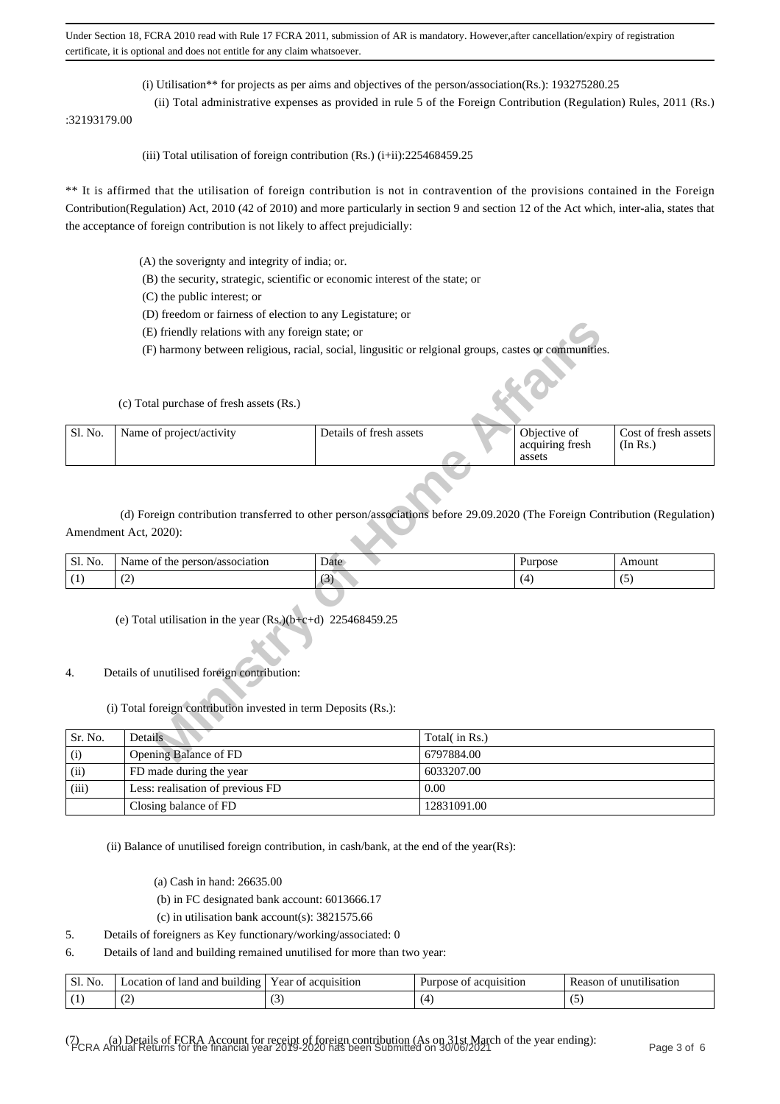(i) Utilisation\*\* for projects as per aims and objectives of the person/association(Rs.): 193275280.25

 (ii) Total administrative expenses as provided in rule 5 of the Foreign Contribution (Regulation) Rules, 2011 (Rs.) :32193179.00

(iii) Total utilisation of foreign contribution  $(Rs.)$  (i+ii):225468459.25

\*\* It is affirmed that the utilisation of foreign contribution is not in contravention of the provisions contained in the Foreign Contribution(Regulation) Act, 2010 (42 of 2010) and more particularly in section 9 and section 12 of the Act which, inter-alia, states that the acceptance of foreign contribution is not likely to affect prejudicially:

- (A) the soverignty and integrity of india; or.
- (B) the security, strategic, scientific or economic interest of the state; or
- (C) the public interest; or
- (D) freedom or fairness of election to any Legistature; or
- (E) friendly relations with any foreign state; or

|         | (E) friendly relations with any foreign state; or                                                                                                   |                         |               |                                           |                                  |
|---------|-----------------------------------------------------------------------------------------------------------------------------------------------------|-------------------------|---------------|-------------------------------------------|----------------------------------|
|         | (F) harmony between religious, racial, social, lingusitic or relgional groups, castes or communities.                                               |                         |               |                                           |                                  |
|         | (c) Total purchase of fresh assets (Rs.)                                                                                                            |                         |               |                                           |                                  |
| Sl. No. | Name of project/activity                                                                                                                            | Details of fresh assets |               | Objective of<br>acquiring fresh<br>assets | Cost of fresh assets<br>(In Rs.) |
|         | (d) Foreign contribution transferred to other person/associations before 29.09.2020 (The Foreign Contribution (Regulation)<br>Amendment Act, 2020): |                         |               |                                           |                                  |
| Sl. No. | Name of the person/association                                                                                                                      | Date                    |               | Purpose                                   | Amount                           |
| (1)     | (2)                                                                                                                                                 | (3)                     |               | (4)                                       | (5)                              |
|         | (e) Total utilisation in the year $(Rs)(b+c+d)$ 225468459.25                                                                                        |                         |               |                                           |                                  |
| 4.      | Details of unutilised foreign contribution:                                                                                                         |                         |               |                                           |                                  |
|         | (i) Total foreign contribution invested in term Deposits (Rs.):                                                                                     |                         |               |                                           |                                  |
| Sr. No. | Details                                                                                                                                             |                         | Total(in Rs.) |                                           |                                  |
| (i)     | Opening Balance of FD                                                                                                                               |                         | 6797884.00    |                                           |                                  |

| No.<br>Sl. | /association<br>person/<br>Name<br>the<br>-01 | Date   | urpose | Amount |
|------------|-----------------------------------------------|--------|--------|--------|
| . .        | $\sim$<br>$\sim$                              | $\sim$ |        | $\sim$ |

### 4. Details of unutilised foreign contribution:

#### (i) Total foreign contribution invested in term Deposits (Rs.):

| Sr. No. | Details                          | Total( in Rs.) |
|---------|----------------------------------|----------------|
| (i)     | Opening Balance of FD            | 6797884.00     |
| (ii)    | FD made during the year          | 6033207.00     |
| (iii)   | Less: realisation of previous FD | 0.00           |
|         | Closing balance of FD            | 12831091.00    |

(ii) Balance of unutilised foreign contribution, in cash/bank, at the end of the year(Rs):

- (a) Cash in hand: 26635.00
- (b) in FC designated bank account: 6013666.17

(c) in utilisation bank account(s):  $3821575.66$ 

5. Details of foreigners as Key functionary/working/associated: 0

6. Details of land and building remained unutilised for more than two year:

| Sl.<br>No | and<br>land<br>building<br>.ocation<br>ОŤ | acquisition<br>vear of. | Purpose<br>acquisition<br>ΩŤ | *1l1sat10n<br>unu<br>Reason |
|-----------|-------------------------------------------|-------------------------|------------------------------|-----------------------------|
|           | $\sim$                                    | $\sim$                  |                              | $\sim$                      |

(7) (a) Details of FCRA Account for receipt of foreign contribution (As on 31st March of the year ending): FCRA Annual Returns for the financial year 2019-2020 has been Submitted on 30/06/2021 Page 3 of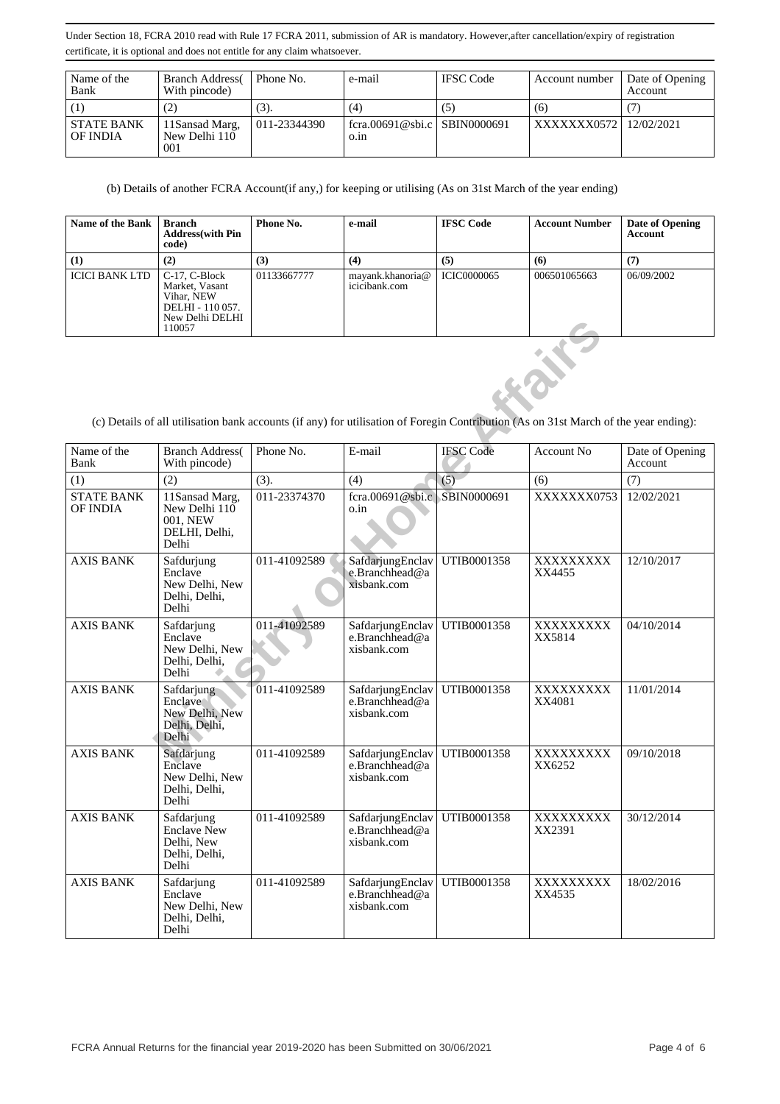| Name of the<br>Bank           | <b>Branch Address</b><br>With pincode) | Phone No.    | e-mail                               | <b>IFSC</b> Code | Account number           | Date of Opening<br>Account |
|-------------------------------|----------------------------------------|--------------|--------------------------------------|------------------|--------------------------|----------------------------|
|                               | (2)                                    | (3).         | (4)                                  | ( ح              | (6)                      |                            |
| <b>STATE BANK</b><br>OF INDIA | 11Sansad Marg,<br>New Delhi 110<br>001 | 011-23344390 | fcra.00691@sbi.c SBIN0000691<br>0.1n |                  | XXXXXXX0572   12/02/2021 |                            |

(b) Details of another FCRA Account(if any,) for keeping or utilising (As on 31st March of the year ending)

| <b>Name of the Bank</b> | Branch<br><b>Address</b> (with Pin<br>code)                                                    | Phone No.   | e-mail                            | <b>IFSC Code</b>   | <b>Account Number</b> | Date of Opening<br><b>Account</b> |
|-------------------------|------------------------------------------------------------------------------------------------|-------------|-----------------------------------|--------------------|-----------------------|-----------------------------------|
| (1)                     | (2)                                                                                            | (3)         | (4)                               | (5)                | (6)                   | (7)                               |
| <b>ICICI BANK LTD</b>   | C-17, C-Block<br>Market, Vasant<br>Vihar, NEW<br>DELHI - 110 057.<br>New Delhi DELHI<br>110057 | 01133667777 | mayank.khanoria@<br>icicibank.com | <b>ICIC0000065</b> | 006501065663          | 06/09/2002                        |

|                                                                                                                                      | IWW DUIII DLLIII<br>110057                                               |              |                                                   |                  |                     |                            |  |  |  |
|--------------------------------------------------------------------------------------------------------------------------------------|--------------------------------------------------------------------------|--------------|---------------------------------------------------|------------------|---------------------|----------------------------|--|--|--|
| (c) Details of all utilisation bank accounts (if any) for utilisation of Foregin Contribution (As on 31st March of the year ending): |                                                                          |              |                                                   |                  |                     |                            |  |  |  |
| Name of the<br>Bank                                                                                                                  | <b>Branch Address</b><br>With pincode)                                   | Phone No.    | E-mail                                            | <b>IFSC Code</b> | Account No.         | Date of Opening<br>Account |  |  |  |
| (1)                                                                                                                                  | (2)                                                                      | (3).         | (4)                                               | (5)              | (6)                 | (7)                        |  |  |  |
| <b>STATE BANK</b><br>OF INDIA                                                                                                        | 11Sansad Marg,<br>New Delhi 110<br>001, NEW<br>DELHI, Delhi,<br>Delhi    | 011-23374370 | fcra.00691@sbi.c   SBIN0000691<br>o.in            |                  | XXXXXXX0753         | 12/02/2021                 |  |  |  |
| <b>AXIS BANK</b>                                                                                                                     | Safdurjung<br>Enclave<br>New Delhi, New<br>Delhi, Delhi,<br>Delhi        | 011-41092589 | SafdarjungEnclav<br>e.Branchhead@a<br>xisbank.com | UTIB0001358      | XXXXXXXXX<br>XX4455 | 12/10/2017                 |  |  |  |
| <b>AXIS BANK</b>                                                                                                                     | Safdarjung<br>Enclave<br>New Delhi, New<br>Delhi, Delhi,<br>Delhi        | 011-41092589 | SafdarjungEnclav<br>e.Branchhead@a<br>xisbank.com | UTIB0001358      | XXXXXXXX<br>XX5814  | 04/10/2014                 |  |  |  |
| <b>AXIS BANK</b>                                                                                                                     | Safdarjung<br>Enclave<br>New Delhi, New<br>Delhi, Delhi,<br>Delhi        | 011-41092589 | SafdarjungEnclav<br>e.Branchhead@a<br>xisbank.com | UTIB0001358      | XXXXXXXXX<br>XX4081 | 11/01/2014                 |  |  |  |
| <b>AXIS BANK</b>                                                                                                                     | Safdarjung<br>Enclave<br>New Delhi, New<br>Delhi, Delhi,<br>Delhi        | 011-41092589 | SafdarjungEnclav<br>e.Branchhead@a<br>xisbank.com | UTIB0001358      | XXXXXXXXX<br>XX6252 | 09/10/2018                 |  |  |  |
| <b>AXIS BANK</b>                                                                                                                     | Safdarjung<br><b>Enclave New</b><br>Delhi, New<br>Delhi, Delhi,<br>Delhi | 011-41092589 | SafdarjungEnclav<br>e.Branchhead@a<br>xisbank.com | UTIB0001358      | XXXXXXXXX<br>XX2391 | 30/12/2014                 |  |  |  |
| <b>AXIS BANK</b>                                                                                                                     | Safdarjung<br>Enclave<br>New Delhi, New<br>Delhi, Delhi,<br>Delhi        | 011-41092589 | SafdarjungEnclav<br>e.Branchhead@a<br>xisbank.com | UTIB0001358      | XXXXXXXXX<br>XX4535 | 18/02/2016                 |  |  |  |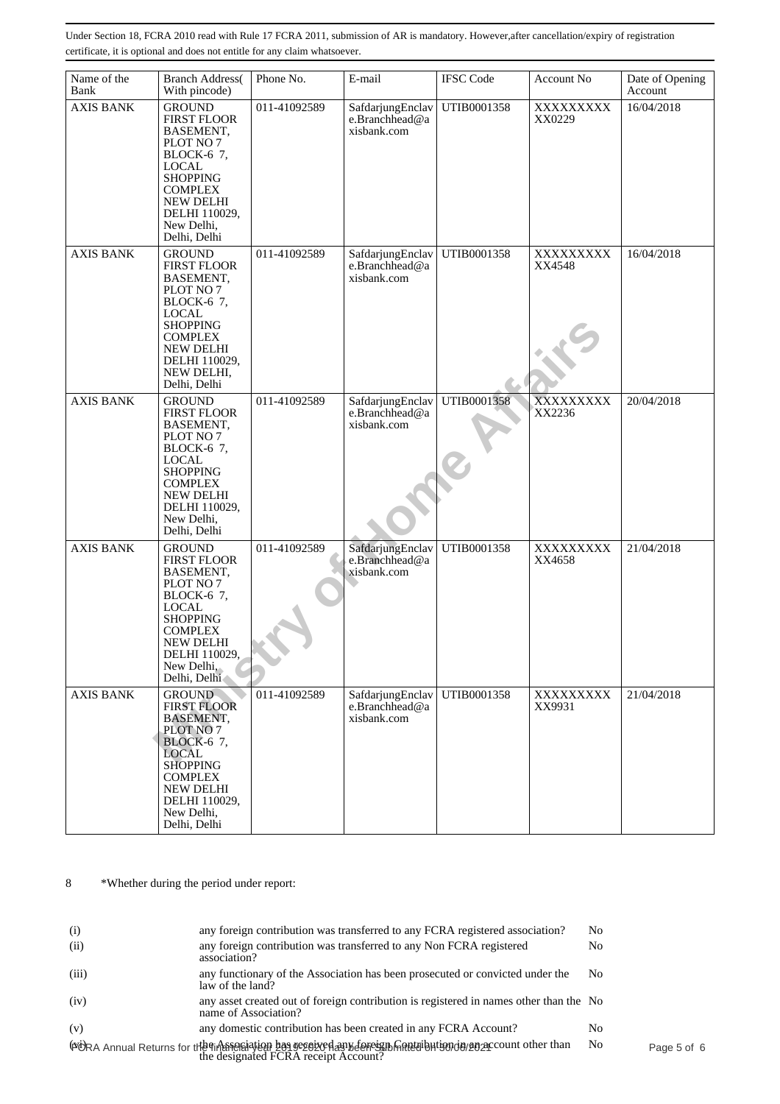| Name of the<br>Bank | <b>Branch Address</b><br>With pincode)                                                                                                                                                                     | Phone No.    | E-mail                                            | <b>IFSC Code</b> | Account No          | Date of Opening<br>Account |
|---------------------|------------------------------------------------------------------------------------------------------------------------------------------------------------------------------------------------------------|--------------|---------------------------------------------------|------------------|---------------------|----------------------------|
| <b>AXIS BANK</b>    | <b>GROUND</b><br><b>FIRST FLOOR</b><br>BASEMENT.<br>PLOT NO 7<br>BLOCK-6 7,<br><b>LOCAL</b><br><b>SHOPPING</b><br><b>COMPLEX</b><br>NEW DELHI<br>DELHI 110029,<br>New Delhi,<br>Delhi, Delhi               | 011-41092589 | SafdarjungEnclav<br>e.Branchhead@a<br>xisbank.com | UTIB0001358      | XXXXXXXXX<br>XX0229 | 16/04/2018                 |
| <b>AXIS BANK</b>    | <b>GROUND</b><br><b>FIRST FLOOR</b><br>BASEMENT,<br>PLOT NO 7<br>BLOCK-6 7,<br><b>LOCAL</b><br><b>SHOPPING</b><br><b>COMPLEX</b><br>NEW DELHI<br>DELHI 110029,<br>NEW DELHI,<br>Delhi, Delhi               | 011-41092589 | SafdarjungEnclav<br>e.Branchhead@a<br>xisbank.com | UTIB0001358      | XXXXXXXXX<br>XX4548 | 16/04/2018                 |
| <b>AXIS BANK</b>    | <b>GROUND</b><br><b>FIRST FLOOR</b><br>BASEMENT,<br>PLOT NO 7<br>BLOCK-6 7,<br><b>LOCAL</b><br><b>SHOPPING</b><br><b>COMPLEX</b><br><b>NEW DELHI</b><br>DELHI 110029,<br>New Delhi,<br>Delhi, Delhi        | 011-41092589 | SafdarjungEnclav<br>e.Branchhead@a<br>xisbank.com | UTIB0001358      | XXXXXXXXX<br>XX2236 | 20/04/2018                 |
| <b>AXIS BANK</b>    | <b>GROUND</b><br><b>FIRST FLOOR</b><br>BASEMENT.<br>PLOT NO 7<br>BLOCK-6 7,<br>$_{\rm LOCAL}$<br><b>SHOPPING</b><br><b>COMPLEX</b><br><b>NEW DELHI</b><br>DELHI 110029,<br>New Delhi,<br>Delhi, Delhi      | 011-41092589 | SafdarjungEnclav<br>e.Branchhead@a<br>xisbank.com | UTIB0001358      | XXXXXXXXX<br>XX4658 | 21/04/2018                 |
| <b>AXIS BANK</b>    | <b>GROUND</b><br><b>FIRST FLOOR</b><br>BASEMENT,<br>PLOT NO 7<br><b>BLOCK-6</b> 7,<br><b>LOCAL</b><br><b>SHOPPING</b><br><b>COMPLEX</b><br><b>NEW DELHI</b><br>DELHI 110029,<br>New Delhi,<br>Delhi, Delhi | 011-41092589 | SafdarjungEnclav<br>e.Branchhead@a<br>xisbank.com | UTIB0001358      | XXXXXXXXX<br>XX9931 | 21/04/2018                 |

8 \*Whether during the period under report:

| (i)   | any foreign contribution was transferred to any FCRA registered association?                                        | No             |             |
|-------|---------------------------------------------------------------------------------------------------------------------|----------------|-------------|
| (ii)  | any foreign contribution was transferred to any Non FCRA registered<br>association?                                 | No             |             |
| (iii) | any functionary of the Association has been prosecuted or convicted under the<br>law of the land?                   | No.            |             |
| (iv)  | any asset created out of foreign contribution is registered in names other than the No<br>name of Association?      |                |             |
| (v)   | any domestic contribution has been created in any FCRA Account?                                                     | No             |             |
|       | (ΦΌRA Annual Returns for the Grands of the designated FCRA receipt Account?<br>the designated FCRA receipt Account? | N <sub>0</sub> | Page 5 of 6 |